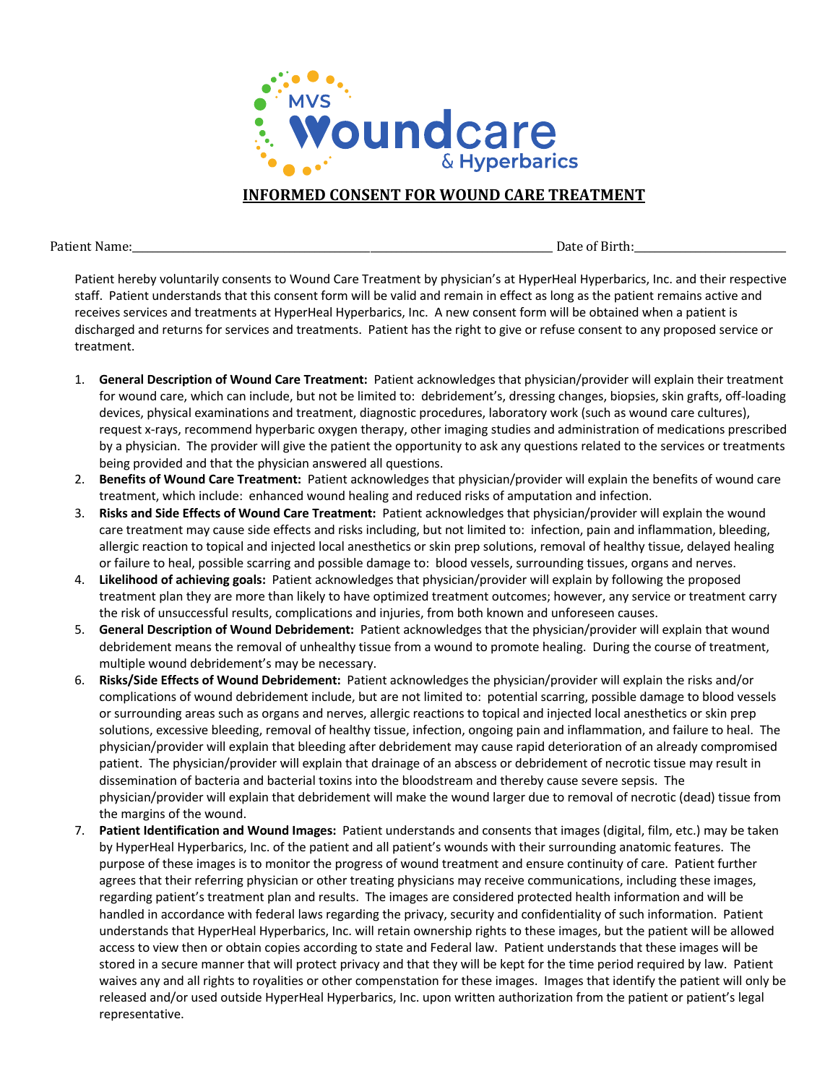

## **INFORMED CONSENT FOR WOUND CARE TREATMENT**

Patient Name: The Communication of the Communication of the Communication of the Communication of Birth:

Patient hereby voluntarily consents to Wound Care Treatment by physician's at HyperHeal Hyperbarics, Inc. and their respective staff. Patient understands that this consent form will be valid and remain in effect as long as the patient remains active and receives services and treatments at HyperHeal Hyperbarics, Inc. A new consent form will be obtained when a patient is discharged and returns for services and treatments. Patient has the right to give or refuse consent to any proposed service or treatment.

- 1. **General Description of Wound Care Treatment:** Patient acknowledges that physician/provider will explain their treatment for wound care, which can include, but not be limited to: debridement's, dressing changes, biopsies, skin grafts, off-loading devices, physical examinations and treatment, diagnostic procedures, laboratory work (such as wound care cultures), request x-rays, recommend hyperbaric oxygen therapy, other imaging studies and administration of medications prescribed by a physician. The provider will give the patient the opportunity to ask any questions related to the services or treatments being provided and that the physician answered all questions.
- 2. **Benefits of Wound Care Treatment:** Patient acknowledges that physician/provider will explain the benefits of wound care treatment, which include: enhanced wound healing and reduced risks of amputation and infection.
- 3. **Risks and Side Effects of Wound Care Treatment:** Patient acknowledges that physician/provider will explain the wound care treatment may cause side effects and risks including, but not limited to: infection, pain and inflammation, bleeding, allergic reaction to topical and injected local anesthetics or skin prep solutions, removal of healthy tissue, delayed healing or failure to heal, possible scarring and possible damage to: blood vessels, surrounding tissues, organs and nerves.
- 4. **Likelihood of achieving goals:** Patient acknowledges that physician/provider will explain by following the proposed treatment plan they are more than likely to have optimized treatment outcomes; however, any service or treatment carry the risk of unsuccessful results, complications and injuries, from both known and unforeseen causes.
- 5. **General Description of Wound Debridement:** Patient acknowledges that the physician/provider will explain that wound debridement means the removal of unhealthy tissue from a wound to promote healing. During the course of treatment, multiple wound debridement's may be necessary.
- 6. **Risks/Side Effects of Wound Debridement:** Patient acknowledges the physician/provider will explain the risks and/or complications of wound debridement include, but are not limited to: potential scarring, possible damage to blood vessels or surrounding areas such as organs and nerves, allergic reactions to topical and injected local anesthetics or skin prep solutions, excessive bleeding, removal of healthy tissue, infection, ongoing pain and inflammation, and failure to heal. The physician/provider will explain that bleeding after debridement may cause rapid deterioration of an already compromised patient. The physician/provider will explain that drainage of an abscess or debridement of necrotic tissue may result in dissemination of bacteria and bacterial toxins into the bloodstream and thereby cause severe sepsis. The physician/provider will explain that debridement will make the wound larger due to removal of necrotic (dead) tissue from the margins of the wound.
- 7. **Patient Identification and Wound Images:** Patient understands and consents that images (digital, film, etc.) may be taken by HyperHeal Hyperbarics, Inc. of the patient and all patient's wounds with their surrounding anatomic features. The purpose of these images is to monitor the progress of wound treatment and ensure continuity of care. Patient further agrees that their referring physician or other treating physicians may receive communications, including these images, regarding patient's treatment plan and results. The images are considered protected health information and will be handled in accordance with federal laws regarding the privacy, security and confidentiality of such information. Patient understands that HyperHeal Hyperbarics, Inc. will retain ownership rights to these images, but the patient will be allowed access to view then or obtain copies according to state and Federal law. Patient understands that these images will be stored in a secure manner that will protect privacy and that they will be kept for the time period required by law. Patient waives any and all rights to royalities or other compenstation for these images. Images that identify the patient will only be released and/or used outside HyperHeal Hyperbarics, Inc. upon written authorization from the patient or patient's legal representative.